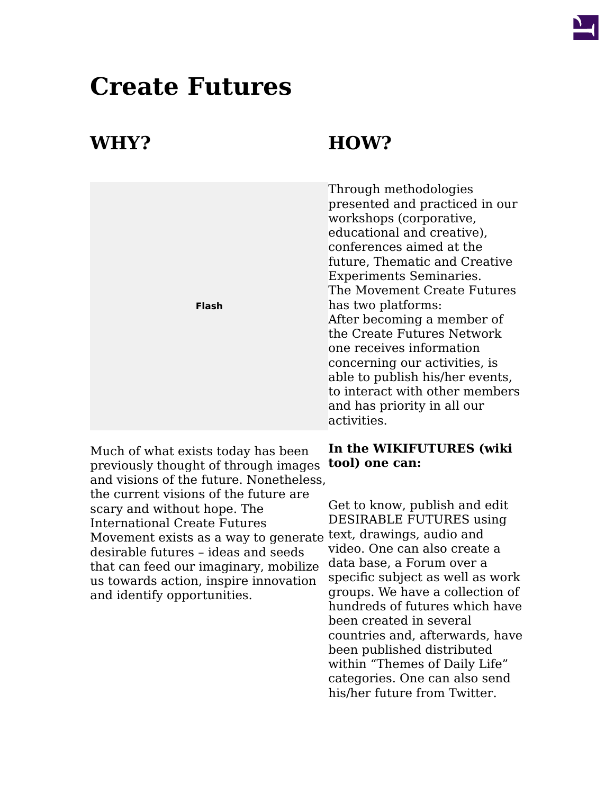

## **Create Futures**

## **WHY? HOW?**

|              | Through methodologies<br>presented and practiced in our<br>workshops (corporative,<br>educational and creative),<br>conferences aimed at the<br>future, Thematic and Creative<br><b>Experiments Seminaries.</b><br>The Movement Create Futures |
|--------------|------------------------------------------------------------------------------------------------------------------------------------------------------------------------------------------------------------------------------------------------|
| <b>Flash</b> | has two platforms:                                                                                                                                                                                                                             |
|              | After becoming a member of                                                                                                                                                                                                                     |
|              | the Create Futures Network                                                                                                                                                                                                                     |
|              | one receives information                                                                                                                                                                                                                       |
|              | concerning our activities, is                                                                                                                                                                                                                  |
|              | able to publish his/her events,                                                                                                                                                                                                                |
|              | to interact with other members                                                                                                                                                                                                                 |
|              | and has priority in all our                                                                                                                                                                                                                    |
|              | activities.                                                                                                                                                                                                                                    |

# **In the WIKIFUTURES (wiki**

Get to know, publish and edit DESIRABLE FUTURES using video. One can also create a data base, a Forum over a specific subject as well as work groups. We have a collection of hundreds of futures which have been created in several countries and, afterwards, have been published distributed within "Themes of Daily Life" categories. One can also send his/her future from Twitter.

Much of what exists today has been previously thought of through images **tool) one can:** and visions of the future. Nonetheless, the current visions of the future are scary and without hope. The International Create Futures Movement exists as a way to generate text, drawings, audio and desirable futures – ideas and seeds that can feed our imaginary, mobilize us towards action, inspire innovation and identify opportunities.